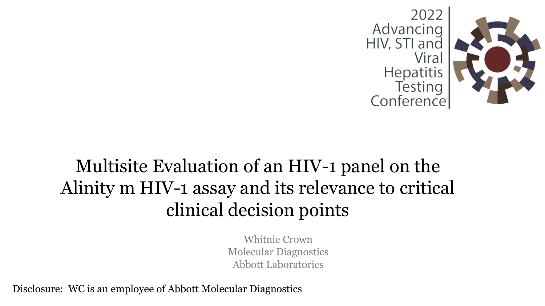

# Multisite Evaluation of an HIV-1 panel on the Alinity m HIV-1 assay and its relevance to critical clinical decision points

Whitnie Crown Molecular Diagnostics Abbott Laboratories

Disclosure: WC is an employee of Abbott Molecular Diagnostics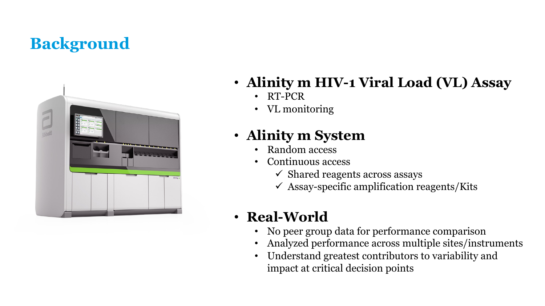# **Background**



- **Alinity m HIV-1 Viral Load (VL) Assay**
	- RT-PCR
	- VL monitoring

### • **Alinity m System**

- Random access
- Continuous access
	- $\checkmark$  Shared reagents across assays
	- $\checkmark$  Assay-specific amplification reagents/Kits

### • **Real-World**

- No peer group data for performance comparison
- Analyzed performance across multiple sites/instruments
- Understand greatest contributors to variability and impact at critical decision points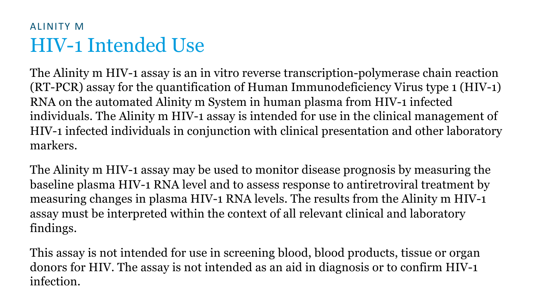### HIV-1 Intended Use ALINITY M

The Alinity m HIV-1 assay is an in vitro reverse transcription-polymerase chain reaction (RT-PCR) assay for the quantification of Human Immunodeficiency Virus type 1 (HIV-1) RNA on the automated Alinity m System in human plasma from HIV-1 infected individuals. The Alinity m HIV-1 assay is intended for use in the clinical management of HIV-1 infected individuals in conjunction with clinical presentation and other laboratory markers.

The Alinity m HIV-1 assay may be used to monitor disease prognosis by measuring the baseline plasma HIV-1 RNA level and to assess response to antiretroviral treatment by measuring changes in plasma HIV-1 RNA levels. The results from the Alinity m HIV-1 assay must be interpreted within the context of all relevant clinical and laboratory findings.

This assay is not intended for use in screening blood, blood products, tissue or organ donors for HIV. The assay is not intended as an aid in diagnosis or to confirm HIV-1 infection.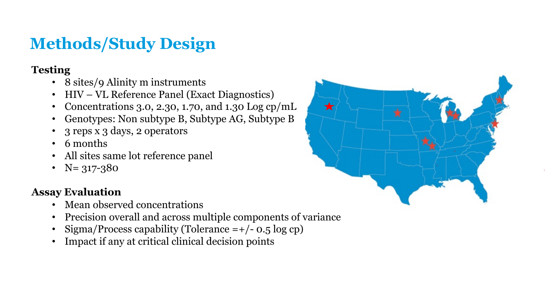# **Methods/Study Design**

#### **Testing**

- 8 sites/9 Alinity m instruments
- HIV VL Reference Panel (Exact Diagnostics)
- Concentrations 3.0, 2.30, 1.70, and 1.30 Log cp/mL
- Genotypes: Non subtype B, Subtype AG, Subtype B
- 3 reps x 3 days, 2 operators
- 6 months
- All sites same lot reference panel
- $N = 317 380$

#### **Assay Evaluation**

- Mean observed concentrations
- Precision overall and across multiple components of variance
- Sigma/Process capability (Tolerance =+/- 0.5 log cp)
- Impact if any at critical clinical decision points

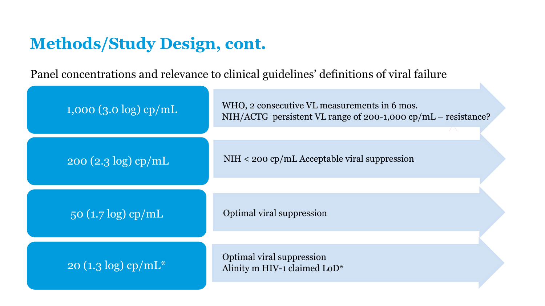## **Methods/Study Design, cont.**

Panel concentrations and relevance to clinical guidelines' definitions of viral failure

| $1,000$ (3.0 log) cp/mL            | WHO, 2 consecutive VL measurements in 6 mos.<br>NIH/ACTG persistent VL range of 200-1,000 cp/mL – resistance? |
|------------------------------------|---------------------------------------------------------------------------------------------------------------|
| $\log(2.3 \log)$ cp/mL             | $NIH < 200$ cp/mL Acceptable viral suppression                                                                |
| $50 (1.7 \log)$ cp/mL              | Optimal viral suppression                                                                                     |
| $20 (1.3 \log)$ cp/mL <sup>*</sup> | Optimal viral suppression<br>Alinity m HIV-1 claimed LoD*                                                     |

N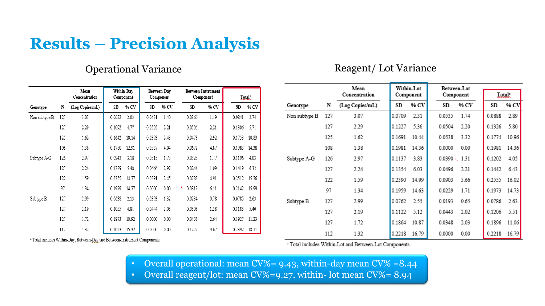## **Results – Precision Analysis**

#### Operational Variance

#### Reagent/ Lot Variance

|               |     |                       |        |                         |        |                          |        |                                 |        |                          |               |     | Mean            |        | Within-Lot |                     | Between-Lot |                     |               |
|---------------|-----|-----------------------|--------|-------------------------|--------|--------------------------|--------|---------------------------------|--------|--------------------------|---------------|-----|-----------------|--------|------------|---------------------|-------------|---------------------|---------------|
|               |     | Mean<br>Concentration |        | Within-Day<br>Component |        | Between-Day<br>Component |        | Between-Instrument<br>Component |        | <b>Total<sup>s</sup></b> |               |     | Concentration   |        | Component  |                     | Component   |                     | <b>Total:</b> |
| Genotype      |     | (Log Copies/mL)       | SD     | % CV                    | SD     | % CV                     | SD     | % CV                            | SD     | % CV                     | Genotype      | N   | (Log Copies/mL) | SD     | % CV       | $_{\rm SD}$         | % CV        | $\operatorname{SD}$ | % C           |
| Non subtype B | 127 | 3.07                  | 0.0622 | 2.03                    | 0.0431 | 1.40                     | 0.0366 | 1.19                            | 0.0841 | 2.74                     | Non subtype B | 127 | 3.07            | 0.0709 | 2.31       | 0.0535              | 1.74        | 0.0888              | 2.8           |
|               | 127 | 2.29                  | 0.1092 | 4.77                    | 0.0505 | 2.21                     | 0.0506 | 2.21                            | 0.1306 | 5.71                     |               | 127 | 2.29            | 0.1227 | 5.36       | 0.0504              | 2.20        | $0.1326$ 5.8        |               |
|               | 125 | 1.62                  | 0.1642 | 10.14                   | 0.0393 | 2.43                     | 0.0473 | 2.92                            | 0.1753 | 10.83                    |               | 125 | 1.62            | 0.1691 | 10.44      | 0.0538              | 3.32        | 0.1774 10.9         |               |
|               | 108 | 1.38                  | 0.1780 | 12.91                   | 0.0557 | 4.04                     | 0.0672 | 4.87                            | 0.1983 | 14.38                    |               | 108 | 1.38            | 0.1981 | 14.36      | 0.0000              | 0.00        | 0.1981              | 14.3          |
| Subtype A-G   | 126 | 2.97                  | 0.0943 | 3.18                    | 0.0515 | 1.73                     | 0.0525 | 1.77                            | 0.1196 | 4.03                     | Subtype A-G   | 126 | 2.97            | 0.1137 | 3.83       | $0.0390 \cdot 1.31$ |             | 0.1202              | 4.0           |
|               | 127 | 2.24                  | 0.1229 | 5.48                    | 0.0666 | 2.97                     | 0.0244 | 1.09                            | 0.1419 | 6.32                     |               | 127 | 2.24            | 0.1354 | 6.03       | 0.0496              | 2.21        | $0.1442$ 6.4        |               |
|               | 122 | 1.59                  | 0.2355 | 14.77                   | 0.0391 | 2.45                     | 0.0783 | 4.91                            |        | 0.2512 15.76             |               | 122 | 1.59            | 0.2390 | 14.99      | 0.0903              | 5.66        | 0.2555 16.0         |               |
|               | 97  | 1.34                  | 0.1979 | 14.77                   | 0.0000 | 0.00                     | 0.0819 | 6.11                            |        | 0.2142 15.99             |               | 97  | 1.34            | 0.1959 | 14.63      | 0.0229              | 1.71        | 0.1973 14.7         |               |
| Subtype B     | 127 | 2.99                  | 0.0638 | 2.13                    | 0.0393 | 1.32                     | 0.0234 | 0.78                            | 0.0785 | 2.63                     | Subtype B     | 127 | 2.99            | 0.0762 | 2.55       | 0.0193              | 0.65        | 0.0786 2.6          |               |
|               | 127 | 2.19                  | 0.1055 | 4.81                    | 0.0444 | 2.03                     | 0.0303 | 1.38                            | 0.1183 | 5.40                     |               | 127 | 2.19            | 0.1122 | 5.12       | 0.0443              | 2.02        | 0.1206 5.5          |               |
|               | 127 | 1.72                  | 0.1873 | 10.92                   | 0.0000 | 0.00                     | 0.0453 | 2.64                            | 0.1927 | 11.23                    |               | 127 | 1.72            | 0.1864 | 10.87      | 0.0348              | 2.03        | 0.1896 11.0         |               |
|               | 112 | 1.32                  | 0.2023 | 15.32                   | 0.0000 | 0.00                     | 0.1277 | 9.67                            |        | 0.2392 18.11             |               |     |                 |        | .          | .                   |             |                     |               |

<sup>a</sup> Total includes Within-Day, Between-Day and Between-Instrument Components.

<sup>a</sup> Total includes Within-Lot and Between-Lot Components.

1.32

0.2218 16.79

 $0.0000 0.00$ 

0.2218 16.79

112

• Overall operational: mean CV%= 9.43, within-day mean CV% =8.44

• Overall reagent/lot: mean CV%=9.27, within- lot mean CV%= 8.94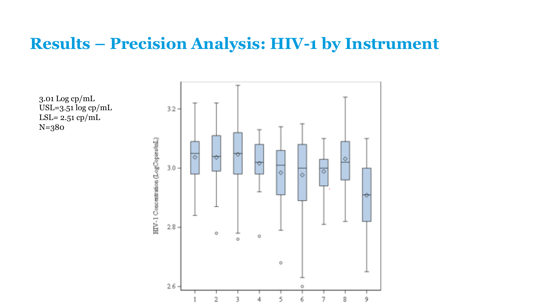### **Results – Precision Analysis: HIV-1 by Instrument**

3.01 Log cp/mL USL=3.51 log cp/mL LSL=  $2.51$  cp/mL N=380

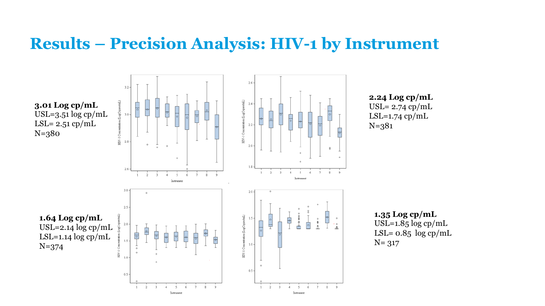### **Results – Precision Analysis: HIV-1 by Instrument**



**2.24 Log cp/mL** USL= 2.74 cp/mL  $LSL=1.74$  cp/mL N=381

**1.35 Log cp/mL** USL= $1.85 \log cp/mL$ LSL=  $0.85 \log cp/mL$ N= 317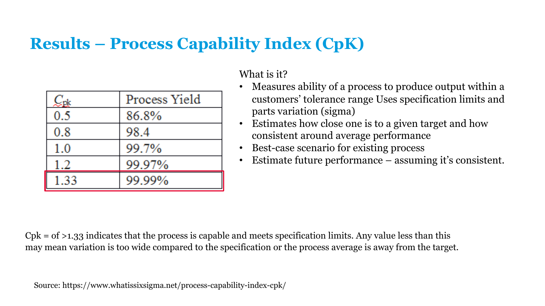# **Results – Process Capability Index (CpK)**

|      | Process Yield |
|------|---------------|
| 0.5  | 86.8%         |
| 0.8  | 98.4          |
| 1.0  | 99.7%         |
| 1.2  | 99.97%        |
| 1.33 | 99.99%        |

What is it?

- Measures ability of a process to produce output within a customers' tolerance range Uses specification limits and parts variation (sigma)
- Estimates how close one is to a given target and how consistent around average performance
- Best-case scenario for existing process
- Estimate future performance assuming it's consistent.

 $Cpk = of >1.33$  indicates that the process is capable and meets specification limits. Any value less than this may mean variation is too wide compared to the specification or the process average is away from the target.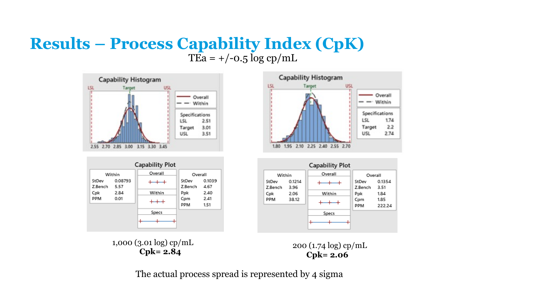#### **Results – Process Capability Index (CpK)** TEa =  $+/-0.5 \log cp/mL$



| <b>Capability Plot</b> |                 |         |                   |                      |  |  |  |  |  |
|------------------------|-----------------|---------|-------------------|----------------------|--|--|--|--|--|
|                        | Within          | Overall | Overall           |                      |  |  |  |  |  |
| StDev<br>Z.Bench       | 0.08793<br>5.57 |         | StDev<br>Z.Bench  | 0.1039<br>4.67       |  |  |  |  |  |
| Cpk<br>PPM             | 2.84<br>0.01    | Within  | Ppk<br>Cpm<br>PPM | 2.40<br>2.41<br>1.51 |  |  |  |  |  |
|                        |                 | Specs   |                   |                      |  |  |  |  |  |



|                  |                | <b>Capability Plot</b> |                   |                        |  |
|------------------|----------------|------------------------|-------------------|------------------------|--|
| Within           |                | Overall                | Overall           |                        |  |
| StDev<br>Z.Bench | 0.1214<br>3.96 |                        | StDev<br>Z.Bench  | 0.1354<br>3.51         |  |
| Cpk<br>PPM       | 2.06<br>38.12  | Within                 | Ppk<br>Cpm<br>PPM | 1.84<br>1.85<br>222.24 |  |
|                  |                | Specs                  |                   |                        |  |

1,000 (3.01 log) cp/mL

3.01 log) cp/mL<br> **Cpk= 2.84 2.00** (1.74 log) cp/mL **Cpk= 2.06**

The actual process spread is represented by 4 sigma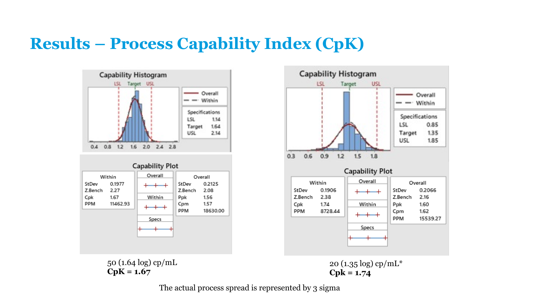# **Results – Process Capability Index (CpK)**





50 (1.64 log) cp/mL **CpK = 1.67**



The actual process spread is represented by 3 sigma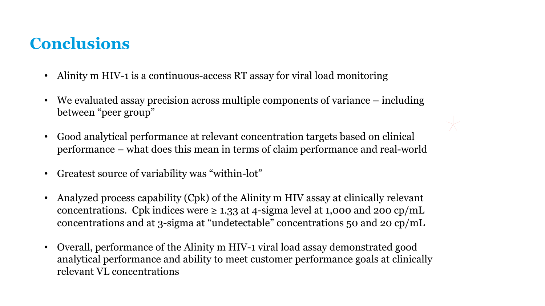# **Conclusions**

- Alinity m HIV-1 is a continuous-access RT assay for viral load monitoring
- We evaluated assay precision across multiple components of variance including between "peer group"
- Good analytical performance at relevant concentration targets based on clinical performance – what does this mean in terms of claim performance and real-world
- Greatest source of variability was "within-lot"
- Analyzed process capability (Cpk) of the Alinity m HIV assay at clinically relevant concentrations. Cpk indices were  $\geq 1.33$  at 4-sigma level at 1,000 and 200 cp/mL concentrations and at 3-sigma at "undetectable" concentrations 50 and 20 cp/mL
- Overall, performance of the Alinity m HIV-1 viral load assay demonstrated good analytical performance and ability to meet customer performance goals at clinically relevant VL concentrations